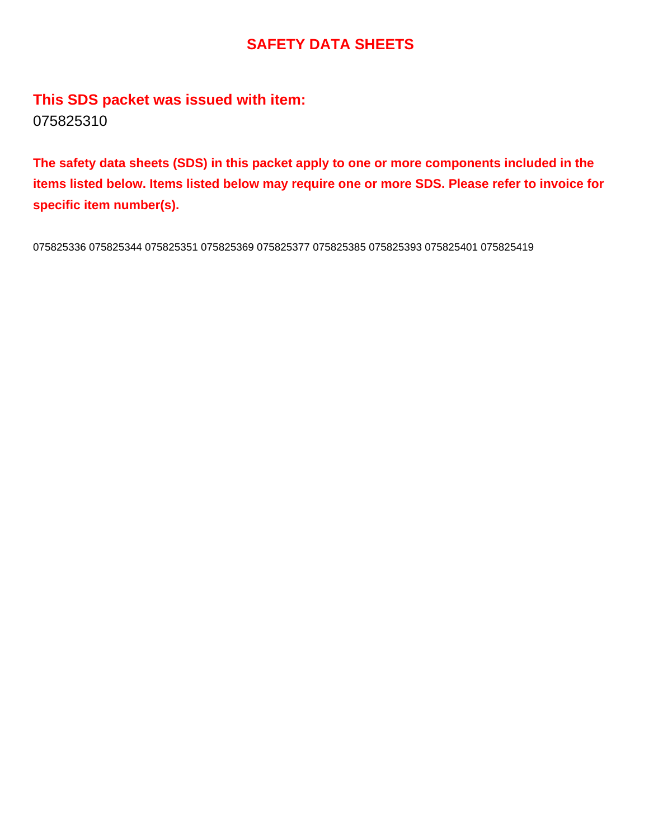# **SAFETY DATA SHEETS**

**This SDS packet was issued with item:** 075825310

**The safety data sheets (SDS) in this packet apply to one or more components included in the items listed below. Items listed below may require one or more SDS. Please refer to invoice for specific item number(s).**

075825336 075825344 075825351 075825369 075825377 075825385 075825393 075825401 075825419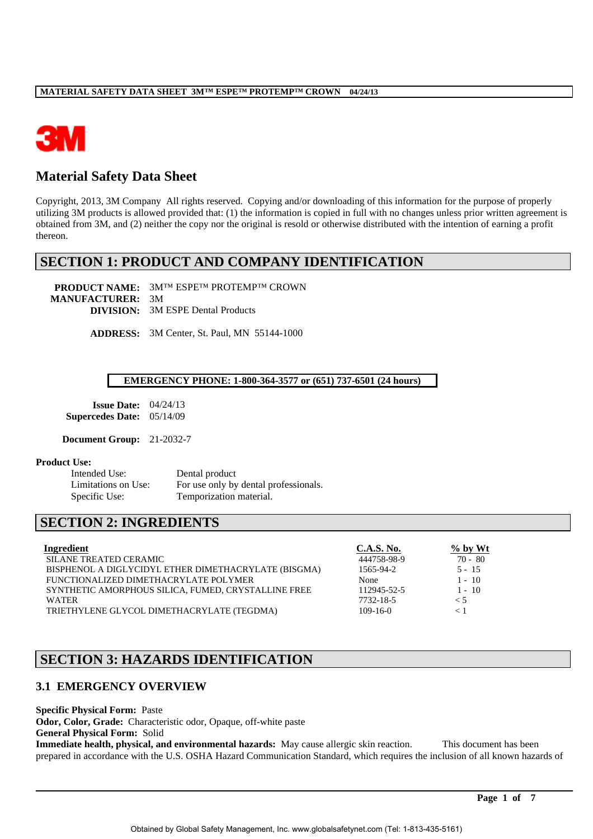

# **Material Safety Data Sheet**

Copyright, 2013, 3M Company All rights reserved. Copying and/or downloading of this information for the purpose of properly utilizing 3M products is allowed provided that: (1) the information is copied in full with no changes unless prior written agreement is obtained from 3M, and (2) neither the copy nor the original is resold or otherwise distributed with the intention of earning a profit thereon.

# **SECTION 1: PRODUCT AND COMPANY IDENTIFICATION**

**PRODUCT NAME:** 3M™ ESPE™ PROTEMP™ CROWN **MANUFACTURER:** 3M **DIVISION:** 3M ESPE Dental Products

**ADDRESS:** 3M Center, St. Paul, MN 55144-1000

### **EMERGENCY PHONE: 1-800-364-3577 or (651) 737-6501 (24 hours)**

**Issue Date:** 04/24/13 **Supercedes Date:** 05/14/09

**Document Group:** 21-2032-7

### **Product Use:**

Intended Use: Dental product Limitations on Use: For use only by dental professionals. Specific Use: Temporization material.

# **SECTION 2: INGREDIENTS**

| Ingredient                                           | <b>C.A.S. No.</b> | $%$ by Wt |
|------------------------------------------------------|-------------------|-----------|
| <b>SILANE TREATED CERAMIC</b>                        | 444758-98-9       | $70 - 80$ |
| BISPHENOL A DIGLYCIDYL ETHER DIMETHACRYLATE (BISGMA) | 1565-94-2         | $5 - 15$  |
| FUNCTIONALIZED DIMETHACRYLATE POLYMER                | None              | $1 - 10$  |
| SYNTHETIC AMORPHOUS SILICA, FUMED, CRYSTALLINE FREE  | 112945-52-5       | $1 - 10$  |
| <b>WATER</b>                                         | 7732-18-5         | < 5       |
| TRIETHYLENE GLYCOL DIMETHACRYLATE (TEGDMA)           | $109 - 16 - 0$    |           |

# **SECTION 3: HAZARDS IDENTIFICATION**

# **3.1 EMERGENCY OVERVIEW**

**Specific Physical Form:** Paste **Odor, Color, Grade:** Characteristic odor, Opaque, off-white paste **General Physical Form:** Solid

**Immediate health, physical, and environmental hazards:** May cause allergic skin reaction. This document has been prepared in accordance with the U.S. OSHA Hazard Communication Standard, which requires the inclusion of all known hazards of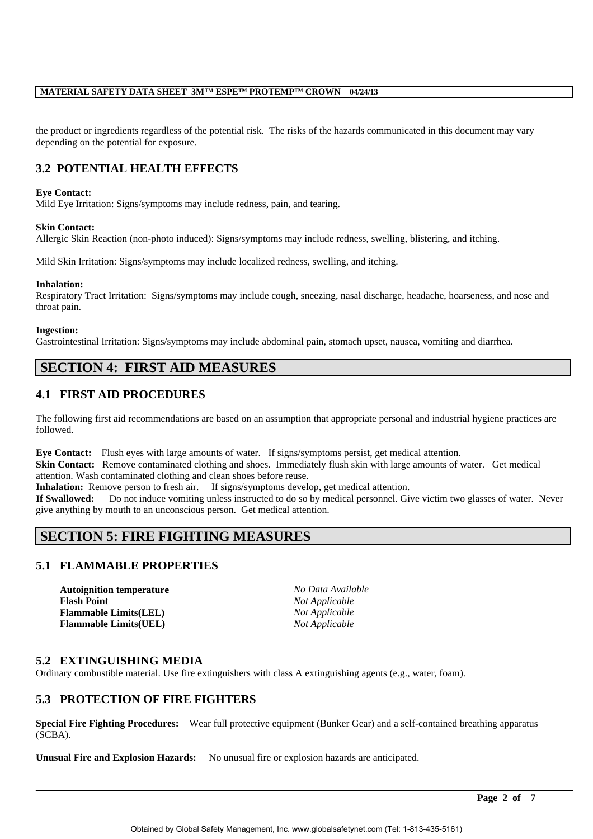the product or ingredients regardless of the potential risk. The risks of the hazards communicated in this document may vary depending on the potential for exposure.

# **3.2 POTENTIAL HEALTH EFFECTS**

### **Eye Contact:**

Mild Eye Irritation: Signs/symptoms may include redness, pain, and tearing.

#### **Skin Contact:**

Allergic Skin Reaction (non-photo induced): Signs/symptoms may include redness, swelling, blistering, and itching.

Mild Skin Irritation: Signs/symptoms may include localized redness, swelling, and itching.

#### **Inhalation:**

Respiratory Tract Irritation: Signs/symptoms may include cough, sneezing, nasal discharge, headache, hoarseness, and nose and throat pain.

#### **Ingestion:**

Gastrointestinal Irritation: Signs/symptoms may include abdominal pain, stomach upset, nausea, vomiting and diarrhea.

# **SECTION 4: FIRST AID MEASURES**

# **4.1 FIRST AID PROCEDURES**

The following first aid recommendations are based on an assumption that appropriate personal and industrial hygiene practices are followed.

**Eye Contact:** Flush eyes with large amounts of water. If signs/symptoms persist, get medical attention.

**Skin Contact:** Remove contaminated clothing and shoes. Immediately flush skin with large amounts of water. Get medical attention. Wash contaminated clothing and clean shoes before reuse.

**Inhalation:** Remove person to fresh air. If signs/symptoms develop, get medical attention.

**If Swallowed:** Do not induce vomiting unless instructed to do so by medical personnel. Give victim two glasses of water. Never give anything by mouth to an unconscious person. Get medical attention.

# **SECTION 5: FIRE FIGHTING MEASURES**

# **5.1 FLAMMABLE PROPERTIES**

**Autoignition temperature** *No Data Available* **Flash Point** *Not Applicable* **Flammable Limits(LEL)** *Not Applicable* **Flammable Limits(UEL)** *Not Applicable*

# **5.2 EXTINGUISHING MEDIA**

Ordinary combustible material. Use fire extinguishers with class A extinguishing agents (e.g., water, foam).

# **5.3 PROTECTION OF FIRE FIGHTERS**

**Special Fire Fighting Procedures:** Wear full protective equipment (Bunker Gear) and a self-contained breathing apparatus (SCBA).

**Unusual Fire and Explosion Hazards:** No unusual fire or explosion hazards are anticipated.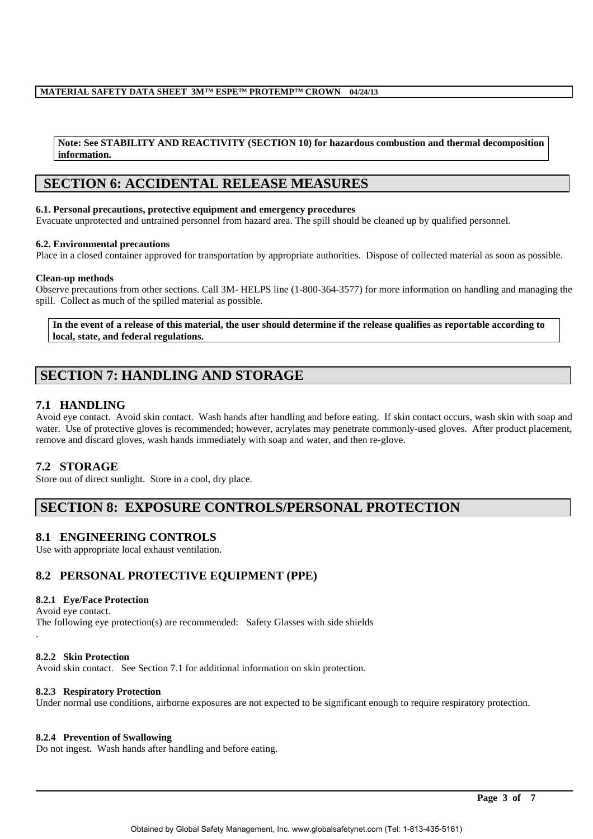#### **Note: See STABILITY AND REACTIVITY (SECTION 10) for hazardous combustion and thermal decomposition information.**

# **SECTION 6: ACCIDENTAL RELEASE MEASURES**

#### **6.1. Personal precautions, protective equipment and emergency procedures**

Evacuate unprotected and untrained personnel from hazard area. The spill should be cleaned up by qualified personnel.

#### **6.2. Environmental precautions**

Place in a closed container approved for transportation by appropriate authorities. Dispose of collected material as soon as possible.

#### **Clean-up methods**

Observe precautions from other sections. Call 3M- HELPS line (1-800-364-3577) for more information on handling and managing the spill. Collect as much of the spilled material as possible.

**In the event of a release of this material, the user should determine if the release qualifies as reportable according to local, state, and federal regulations.**

# **SECTION 7: HANDLING AND STORAGE**

# **7.1 HANDLING**

Avoid eye contact. Avoid skin contact. Wash hands after handling and before eating. If skin contact occurs, wash skin with soap and water. Use of protective gloves is recommended; however, acrylates may penetrate commonly-used gloves. After product placement, remove and discard gloves, wash hands immediately with soap and water, and then re-glove.

# **7.2 STORAGE**

Store out of direct sunlight. Store in a cool, dry place.

# **SECTION 8: EXPOSURE CONTROLS/PERSONAL PROTECTION**

# **8.1 ENGINEERING CONTROLS**

Use with appropriate local exhaust ventilation.

# **8.2 PERSONAL PROTECTIVE EQUIPMENT (PPE)**

### **8.2.1 Eye/Face Protection**

Avoid eye contact. The following eye protection(s) are recommended: Safety Glasses with side shields .

### **8.2.2 Skin Protection**

Avoid skin contact. See Section 7.1 for additional information on skin protection.

### **8.2.3 Respiratory Protection**

Under normal use conditions, airborne exposures are not expected to be significant enough to require respiratory protection.

### **8.2.4 Prevention of Swallowing**

Do not ingest. Wash hands after handling and before eating.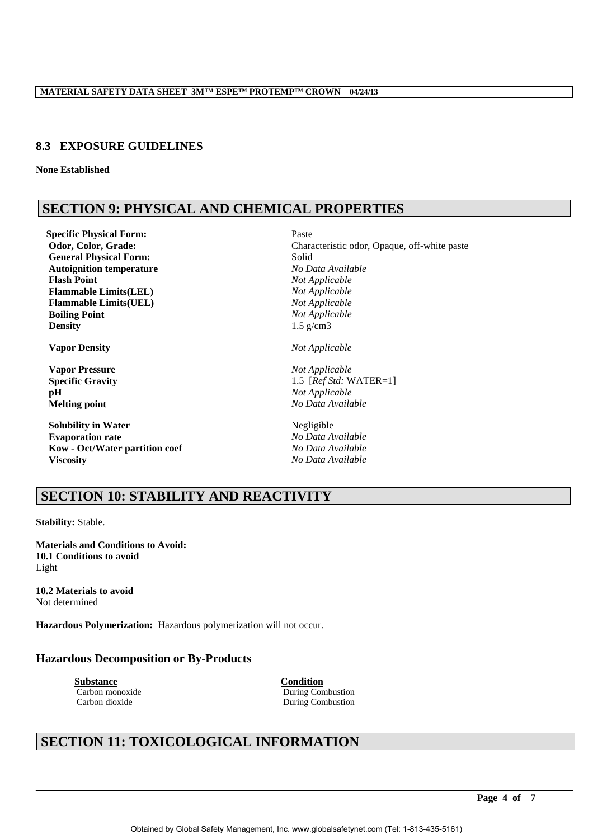# **8.3 EXPOSURE GUIDELINES**

**None Established**

# **SECTION 9: PHYSICAL AND CHEMICAL PROPERTIES**

**Specific Physical Form:** Paste **General Physical Form:** Solid **Autoignition temperature** *No Data Available* **Flash Point**<br> **Flammable Limits(LEL)**<br> *Not Applicable*<br> *Not Applicable*  $Flammable Limits(LEL)$ **Flammable Limits(UEL)** *Not Applicable* **Boiling Point** *Not Applicable* **Density** 1.5 g/cm3

**Vapor Density** *Not Applicable*

**Vapor Pressure** *Not Applicable* **pH** *Not Applicable*

**Solubility in Water** Negligible **Evaporation rate** *No Data Available* **Kow - Oct/Water partition coef** *No Data Available* **Viscosity** *No Data Available*

**Odor, Color, Grade: Characteristic odor, Opaque, off-white paste** 

**Specific Gravity** 1.5 [*Ref Std:* WATER=1] **Melting point** *No Data Available*

# **SECTION 10: STABILITY AND REACTIVITY**

**Stability:** Stable.

**Materials and Conditions to Avoid: 10.1 Conditions to avoid** Light

**10.2 Materials to avoid** Not determined

**Hazardous Polymerization:** Hazardous polymerization will not occur.

# **Hazardous Decomposition or By-Products**

**Substance Condition**

Carbon monoxide During Combustion Carbon dioxide During Combustion

# **SECTION 11: TOXICOLOGICAL INFORMATION**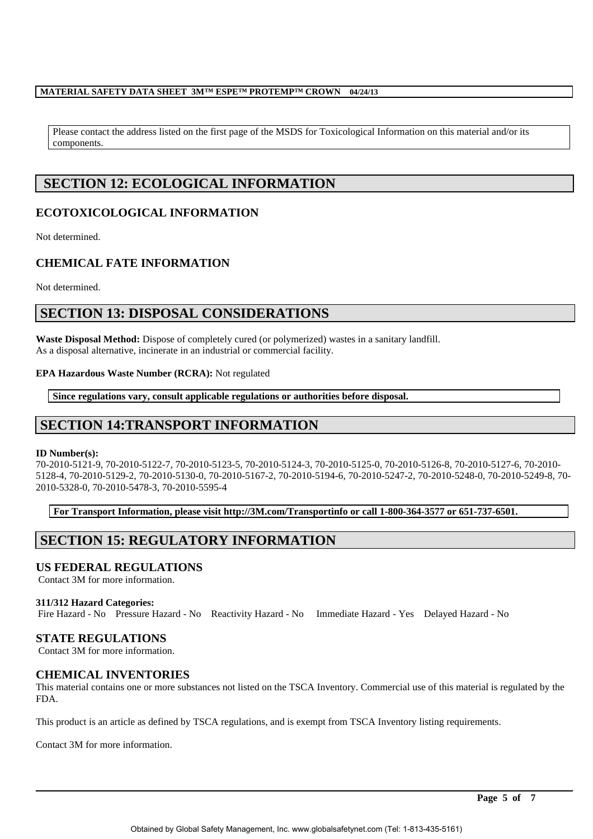Please contact the address listed on the first page of the MSDS for Toxicological Information on this material and/or its components.

# **SECTION 12: ECOLOGICAL INFORMATION**

# **ECOTOXICOLOGICAL INFORMATION**

Not determined.

# **CHEMICAL FATE INFORMATION**

Not determined.

# **SECTION 13: DISPOSAL CONSIDERATIONS**

**Waste Disposal Method:** Dispose of completely cured (or polymerized) wastes in a sanitary landfill. As a disposal alternative, incinerate in an industrial or commercial facility.

## **EPA Hazardous Waste Number (RCRA):** Not regulated

**Since regulations vary, consult applicable regulations or authorities before disposal.**

# **SECTION 14:TRANSPORT INFORMATION**

### **ID Number(s):**

70-2010-5121-9, 70-2010-5122-7, 70-2010-5123-5, 70-2010-5124-3, 70-2010-5125-0, 70-2010-5126-8, 70-2010-5127-6, 70-2010- 5128-4, 70-2010-5129-2, 70-2010-5130-0, 70-2010-5167-2, 70-2010-5194-6, 70-2010-5247-2, 70-2010-5248-0, 70-2010-5249-8, 70- 2010-5328-0, 70-2010-5478-3, 70-2010-5595-4

**For Transport Information, please visit http://3M.com/Transportinfo or call 1-800-364-3577 or 651-737-6501.**

# **SECTION 15: REGULATORY INFORMATION**

# **US FEDERAL REGULATIONS**

Contact 3M for more information.

### **311/312 Hazard Categories:**

Fire Hazard - No Pressure Hazard - No Reactivity Hazard - No Immediate Hazard - Yes Delayed Hazard - No

# **STATE REGULATIONS**

Contact 3M for more information.

# **CHEMICAL INVENTORIES**

This material contains one or more substances not listed on the TSCA Inventory. Commercial use of this material is regulated by the FDA.

This product is an article as defined by TSCA regulations, and is exempt from TSCA Inventory listing requirements.

Contact 3M for more information.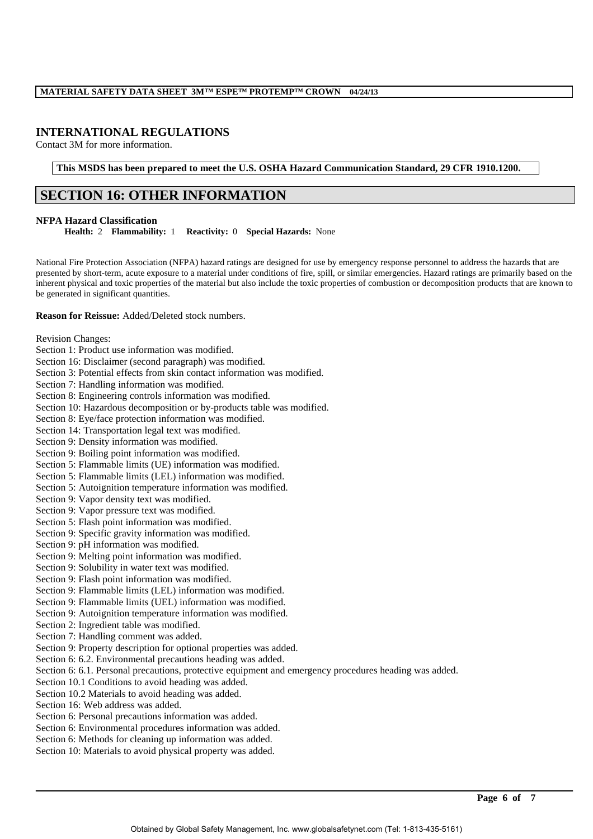# **INTERNATIONAL REGULATIONS**

Contact 3M for more information.

**This MSDS has been prepared to meet the U.S. OSHA Hazard Communication Standard, 29 CFR 1910.1200.**

# **SECTION 16: OTHER INFORMATION**

#### **NFPA Hazard Classification**

**Health:** 2 **Flammability:** 1 **Reactivity:** 0 **Special Hazards:** None

National Fire Protection Association (NFPA) hazard ratings are designed for use by emergency response personnel to address the hazards that are presented by short-term, acute exposure to a material under conditions of fire, spill, or similar emergencies. Hazard ratings are primarily based on the inherent physical and toxic properties of the material but also include the toxic properties of combustion or decomposition products that are known to be generated in significant quantities.

#### **Reason for Reissue:** Added/Deleted stock numbers.

Revision Changes:

Section 1: Product use information was modified. Section 16: Disclaimer (second paragraph) was modified.

Section 3: Potential effects from skin contact information was modified.

Section 7: Handling information was modified.

Section 8: Engineering controls information was modified.

Section 10: Hazardous decomposition or by-products table was modified.

Section 8: Eye/face protection information was modified.

Section 14: Transportation legal text was modified.

Section 9: Density information was modified.

Section 9: Boiling point information was modified.

Section 5: Flammable limits (UE) information was modified.

Section 5: Flammable limits (LEL) information was modified.

Section 5: Autoignition temperature information was modified.

Section 9: Vapor density text was modified.

Section 9: Vapor pressure text was modified.

Section 5: Flash point information was modified.

Section 9: Specific gravity information was modified.

Section 9: pH information was modified.

Section 9: Melting point information was modified.

Section 9: Solubility in water text was modified.

Section 9: Flash point information was modified.

Section 9: Flammable limits (LEL) information was modified.

Section 9: Flammable limits (UEL) information was modified.

Section 9: Autoignition temperature information was modified.

Section 2: Ingredient table was modified.

Section 7: Handling comment was added.

Section 9: Property description for optional properties was added.

Section 6: 6.2. Environmental precautions heading was added.

Section 6: 6.1. Personal precautions, protective equipment and emergency procedures heading was added.

Section 10.1 Conditions to avoid heading was added.

Section 10.2 Materials to avoid heading was added.

Section 16: Web address was added.

Section 6: Personal precautions information was added.

Section 6: Environmental procedures information was added.

Section 6: Methods for cleaning up information was added.

Section 10: Materials to avoid physical property was added.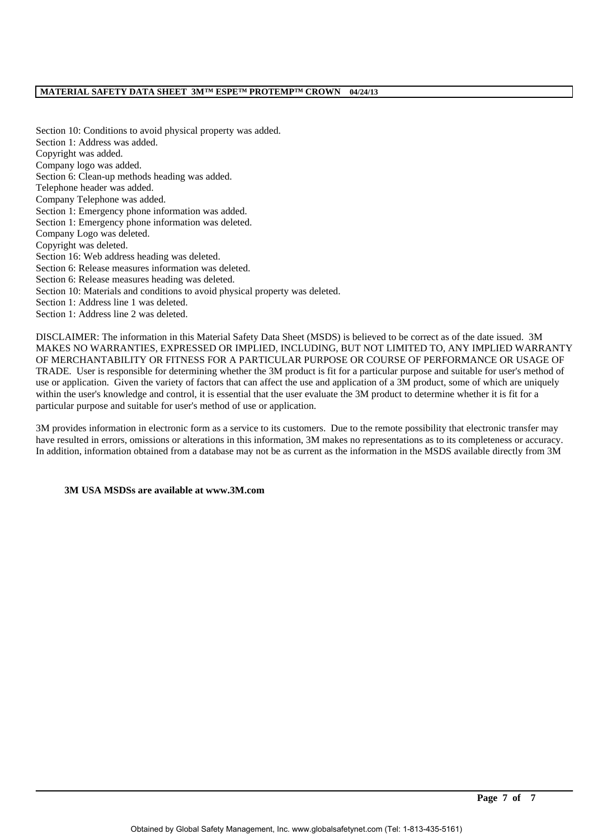Section 10: Conditions to avoid physical property was added. Section 1: Address was added. Copyright was added. Company logo was added. Section 6: Clean-up methods heading was added. Telephone header was added. Company Telephone was added. Section 1: Emergency phone information was added. Section 1: Emergency phone information was deleted. Company Logo was deleted. Copyright was deleted. Section 16: Web address heading was deleted. Section 6: Release measures information was deleted. Section 6: Release measures heading was deleted. Section 10: Materials and conditions to avoid physical property was deleted. Section 1: Address line 1 was deleted. Section 1: Address line 2 was deleted.

DISCLAIMER: The information in this Material Safety Data Sheet (MSDS) is believed to be correct as of the date issued. 3M MAKES NO WARRANTIES, EXPRESSED OR IMPLIED, INCLUDING, BUT NOT LIMITED TO, ANY IMPLIED WARRANTY OF MERCHANTABILITY OR FITNESS FOR A PARTICULAR PURPOSE OR COURSE OF PERFORMANCE OR USAGE OF TRADE. User is responsible for determining whether the 3M product is fit for a particular purpose and suitable for user's method of use or application. Given the variety of factors that can affect the use and application of a 3M product, some of which are uniquely within the user's knowledge and control, it is essential that the user evaluate the 3M product to determine whether it is fit for a particular purpose and suitable for user's method of use or application.

3M provides information in electronic form as a service to its customers. Due to the remote possibility that electronic transfer may have resulted in errors, omissions or alterations in this information, 3M makes no representations as to its completeness or accuracy. In addition, information obtained from a database may not be as current as the information in the MSDS available directly from 3M

### **3M USA MSDSs are available at www.3M.com**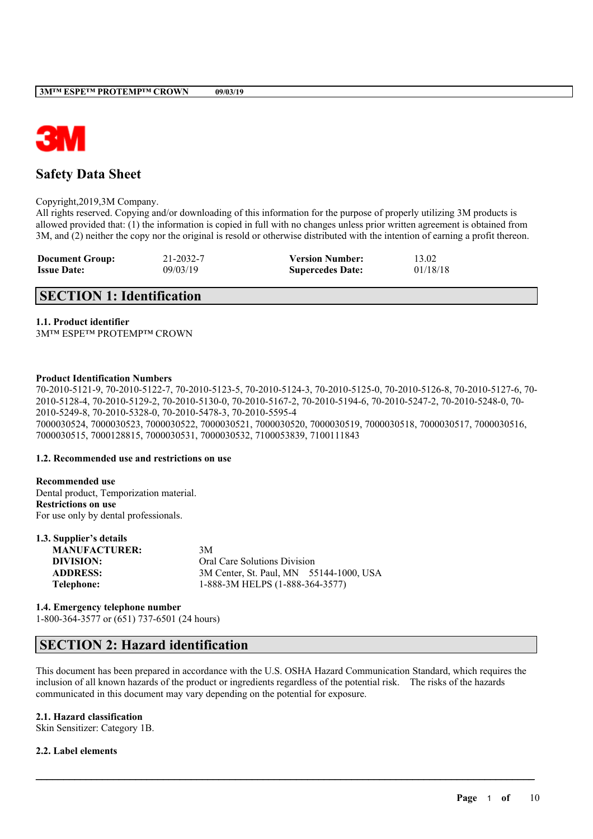

# **Safety Data Sheet**

Copyright,2019,3M Company.

All rights reserved. Copying and/or downloading of this information for the purpose of properly utilizing 3M products is allowed provided that: (1) the information is copied in full with no changes unless prior written agreement is obtained from 3M, and (2) neither the copy nor the original is resold or otherwise distributed with the intention of earning a profit thereon.

| <b>Document Group:</b> | 21-2032-7 | <b>Version Number:</b>  | 13.02    |
|------------------------|-----------|-------------------------|----------|
| <b>Issue Date:</b>     | 09/03/19  | <b>Supercedes Date:</b> | 01/18/18 |

# **SECTION 1: Identification**

#### **1.1. Product identifier**

3M™ ESPE™ PROTEMP™ CROWN

### **Product Identification Numbers**

70-2010-5121-9, 70-2010-5122-7, 70-2010-5123-5, 70-2010-5124-3, 70-2010-5125-0, 70-2010-5126-8, 70-2010-5127-6, 70- 2010-5128-4, 70-2010-5129-2, 70-2010-5130-0, 70-2010-5167-2, 70-2010-5194-6, 70-2010-5247-2, 70-2010-5248-0, 70- 2010-5249-8, 70-2010-5328-0, 70-2010-5478-3, 70-2010-5595-4 7000030524, 7000030523, 7000030522, 7000030521, 7000030520, 7000030519, 7000030518, 7000030517, 7000030516, 7000030515, 7000128815, 7000030531, 7000030532, 7100053839, 7100111843

### **1.2. Recommended use and restrictions on use**

| Recommended use     |                                         |
|---------------------|-----------------------------------------|
|                     | Dental product, Temporization material. |
| Restrictions on use |                                         |
|                     | For use only by dental professionals.   |

| 1.3. Supplier's details |                                         |
|-------------------------|-----------------------------------------|
| <b>MANUFACTURER:</b>    | 3M                                      |
| DIVISION:               | <b>Oral Care Solutions Division</b>     |
| <b>ADDRESS:</b>         | 3M Center, St. Paul, MN 55144-1000, USA |
| Telephone:              | 1-888-3M HELPS (1-888-364-3577)         |

**1.4. Emergency telephone number** 1-800-364-3577 or (651) 737-6501 (24 hours)

# **SECTION 2: Hazard identification**

This document has been prepared in accordance with the U.S. OSHA Hazard Communication Standard, which requires the inclusion of all known hazards of the product or ingredients regardless of the potential risk. The risks of the hazards communicated in this document may vary depending on the potential for exposure.

 $\mathcal{L}_\mathcal{L} = \mathcal{L}_\mathcal{L} = \mathcal{L}_\mathcal{L} = \mathcal{L}_\mathcal{L} = \mathcal{L}_\mathcal{L} = \mathcal{L}_\mathcal{L} = \mathcal{L}_\mathcal{L} = \mathcal{L}_\mathcal{L} = \mathcal{L}_\mathcal{L} = \mathcal{L}_\mathcal{L} = \mathcal{L}_\mathcal{L} = \mathcal{L}_\mathcal{L} = \mathcal{L}_\mathcal{L} = \mathcal{L}_\mathcal{L} = \mathcal{L}_\mathcal{L} = \mathcal{L}_\mathcal{L} = \mathcal{L}_\mathcal{L}$ 

### **2.1. Hazard classification**

Skin Sensitizer: Category 1B.

### **2.2. Label elements**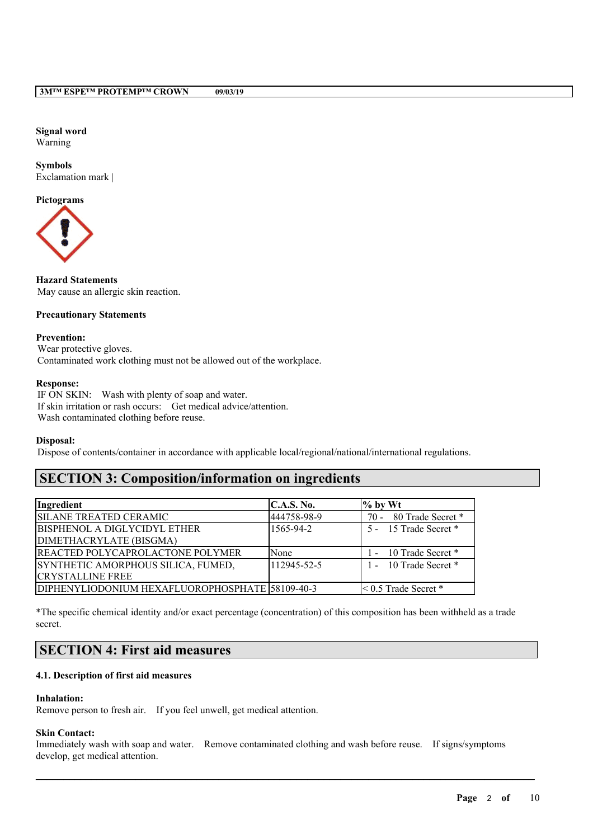#### **Signal word** Warning

**Symbols** Exclamation mark |

# **Pictograms**



## **Hazard Statements** May cause an allergic skin reaction.

## **Precautionary Statements**

#### **Prevention:**

Wear protective gloves. Contaminated work clothing must not be allowed out of the workplace.

#### **Response:**

IF ON SKIN: Wash with plenty of soap and water. If skin irritation or rash occurs: Get medical advice/attention. Wash contaminated clothing before reuse.

#### **Disposal:**

Dispose of contents/container in accordance with applicable local/regional/national/international regulations.

# **SECTION 3: Composition/information on ingredients**

| Ingredient                                      | C.A.S. No.  | $\%$ by Wt                |
|-------------------------------------------------|-------------|---------------------------|
| <b>SILANE TREATED CERAMIC</b>                   | 444758-98-9 | 70 - 80 Trade Secret *    |
| <b>BISPHENOL A DIGLYCIDYL ETHER</b>             | 1565-94-2   | 5 - 15 Trade Secret *     |
| DIMETHACRYLATE (BISGMA)                         |             |                           |
| <b>REACTED POLYCAPROLACTONE POLYMER</b>         | None        | 1 - 10 Trade Secret *     |
| SYNTHETIC AMORPHOUS SILICA, FUMED,              | 112945-52-5 | 1 - 10 Trade Secret *     |
| <b>CRYSTALLINE FREE</b>                         |             |                           |
| DIPHENYLIODONIUM HEXAFLUOROPHOSPHATE 58109-40-3 |             | $\leq 0.5$ Trade Secret * |

\*The specific chemical identity and/or exact percentage (concentration) of this composition has been withheld as a trade secret.

# **SECTION 4: First aid measures**

### **4.1. Description of first aid measures**

### **Inhalation:**

Remove person to fresh air. If you feel unwell, get medical attention.

### **Skin Contact:**

Immediately wash with soap and water. Remove contaminated clothing and wash before reuse. If signs/symptoms develop, get medical attention.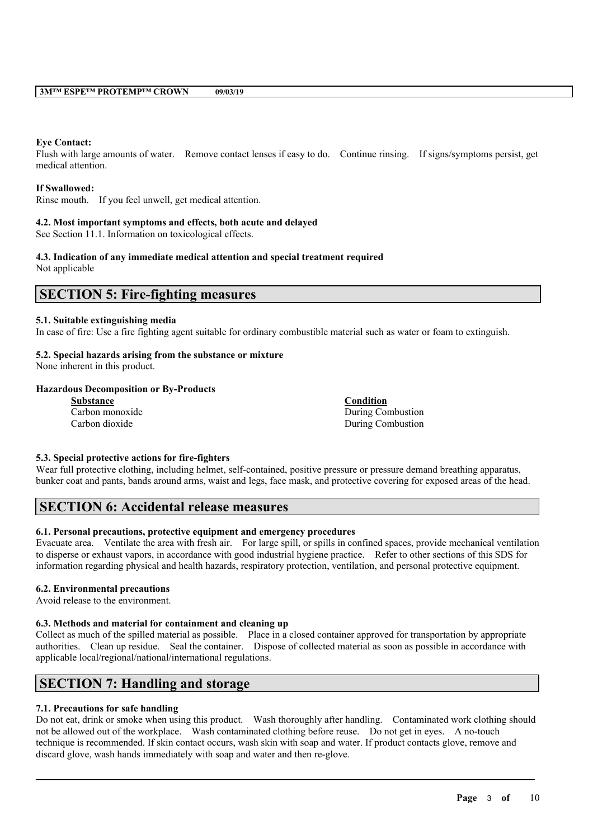#### **Eye Contact:**

Flush with large amounts of water. Remove contact lenses if easy to do. Continue rinsing. If signs/symptoms persist, get medical attention.

#### **If Swallowed:**

Rinse mouth. If you feel unwell, get medical attention.

#### **4.2. Most important symptoms and effects, both acute and delayed**

See Section 11.1. Information on toxicological effects.

#### **4.3. Indication of any immediate medical attention and special treatment required** Not applicable

# **SECTION 5: Fire-fighting measures**

#### **5.1. Suitable extinguishing media**

In case of fire: Use a fire fighting agent suitable for ordinary combustible material such as water or foam to extinguish.

## **5.2. Special hazards arising from the substance or mixture**

None inherent in this product.

## **Hazardous Decomposition or By-Products**

| <b>Substance</b> | Condition         |
|------------------|-------------------|
| Carbon monoxide  | During Combustion |
| Carbon dioxide   | During Combustion |

### **5.3. Special protective actions for fire-fighters**

Wear full protective clothing, including helmet, self-contained, positive pressure or pressure demand breathing apparatus, bunker coat and pants, bands around arms, waist and legs, face mask, and protective covering for exposed areas of the head.

# **SECTION 6: Accidental release measures**

## **6.1. Personal precautions, protective equipment and emergency procedures**

Evacuate area. Ventilate the area with fresh air. For large spill, or spills in confined spaces, provide mechanical ventilation to disperse or exhaust vapors, in accordance with good industrial hygiene practice. Refer to other sections of this SDS for information regarding physical and health hazards, respiratory protection, ventilation, and personal protective equipment.

#### **6.2. Environmental precautions**

Avoid release to the environment.

#### **6.3. Methods and material for containment and cleaning up**

Collect as much of the spilled material as possible. Place in a closed container approved for transportation by appropriate authorities. Clean up residue. Seal the container. Dispose of collected material as soon as possible in accordance with applicable local/regional/national/international regulations.

# **SECTION 7: Handling and storage**

### **7.1. Precautions for safe handling**

Do not eat, drink or smoke when using this product. Wash thoroughly after handling. Contaminated work clothing should not be allowed out of the workplace. Wash contaminated clothing before reuse. Do not get in eyes. A no-touch technique is recommended. If skin contact occurs, wash skin with soap and water. If product contacts glove, remove and discard glove, wash hands immediately with soap and water and then re-glove.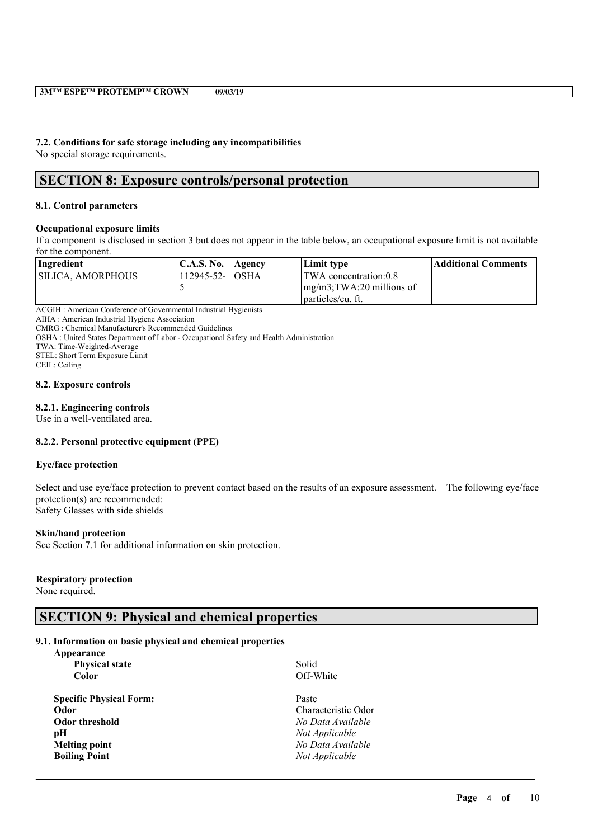# **7.2. Conditions for safe storage including any incompatibilities**

No special storage requirements.

# **SECTION 8: Exposure controls/personal protection**

### **8.1. Control parameters**

#### **Occupational exposure limits**

If a component is disclosed in section 3 but does not appear in the table below, an occupational exposure limit is not available for the component.

| Ingredient         | C.A.S. No.      | <b>Agency</b> | Limit type                                   | Additional Comments |
|--------------------|-----------------|---------------|----------------------------------------------|---------------------|
| ISILICA. AMORPHOUS | 112945-52- OSHA |               | TWA concentration:0.8                        |                     |
|                    |                 |               | $\text{Im}g/\text{m}3$ ; TWA: 20 millions of |                     |
|                    |                 |               | I particles/cu. ft.                          |                     |

ACGIH : American Conference of Governmental Industrial Hygienists

AIHA : American Industrial Hygiene Association

CMRG : Chemical Manufacturer's Recommended Guidelines

OSHA : United States Department of Labor - Occupational Safety and Health Administration

TWA: Time-Weighted-Average

STEL: Short Term Exposure Limit

CEIL: Ceiling

#### **8.2. Exposure controls**

#### **8.2.1. Engineering controls**

Use in a well-ventilated area.

### **8.2.2. Personal protective equipment (PPE)**

#### **Eye/face protection**

Select and use eye/face protection to prevent contact based on the results of an exposure assessment. The following eye/face protection(s) are recommended: Safety Glasses with side shields

 $\mathcal{L}_\mathcal{L} = \mathcal{L}_\mathcal{L} = \mathcal{L}_\mathcal{L} = \mathcal{L}_\mathcal{L} = \mathcal{L}_\mathcal{L} = \mathcal{L}_\mathcal{L} = \mathcal{L}_\mathcal{L} = \mathcal{L}_\mathcal{L} = \mathcal{L}_\mathcal{L} = \mathcal{L}_\mathcal{L} = \mathcal{L}_\mathcal{L} = \mathcal{L}_\mathcal{L} = \mathcal{L}_\mathcal{L} = \mathcal{L}_\mathcal{L} = \mathcal{L}_\mathcal{L} = \mathcal{L}_\mathcal{L} = \mathcal{L}_\mathcal{L}$ 

#### **Skin/hand protection**

See Section 7.1 for additional information on skin protection.

# **Respiratory protection**

None required.

# **SECTION 9: Physical and chemical properties**

### **9.1. Information on basic physical and chemical properties**

| Appearance                     |                     |
|--------------------------------|---------------------|
| <b>Physical state</b>          | Solid               |
| <b>Color</b>                   | Off-White           |
| <b>Specific Physical Form:</b> | Paste               |
| Odor                           | Characteristic Odor |
| Odor threshold                 | No Data Available   |
| pН                             | Not Applicable      |
| <b>Melting point</b>           | No Data Available   |
| <b>Boiling Point</b>           | Not Applicable      |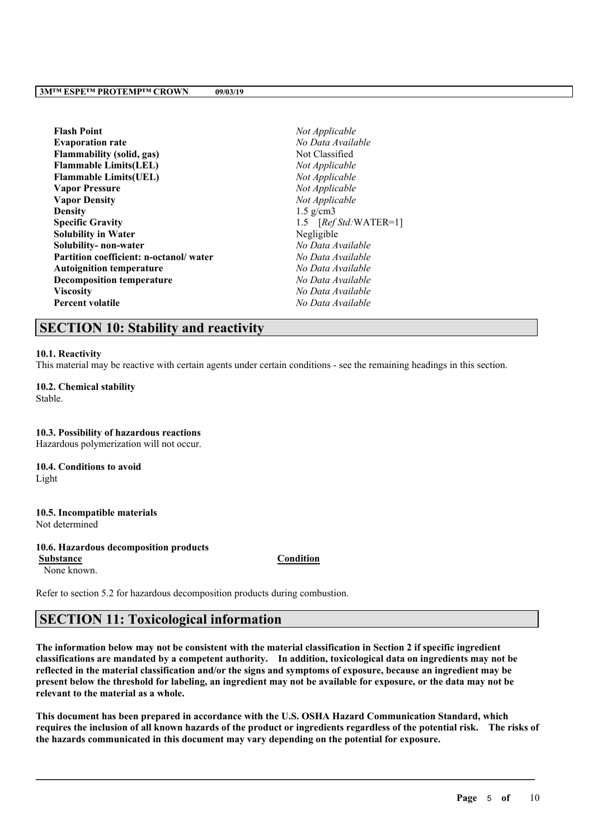| <b>Flash Point</b>                     | Not Applicable         |
|----------------------------------------|------------------------|
| <b>Evaporation rate</b>                | No Data Available      |
| <b>Flammability (solid, gas)</b>       | Not Classified         |
| <b>Flammable Limits(LEL)</b>           | Not Applicable         |
| <b>Flammable Limits (UEL)</b>          | Not Applicable         |
| <b>Vapor Pressure</b>                  | Not Applicable         |
| <b>Vapor Density</b>                   | Not Applicable         |
| <b>Density</b>                         | $1.5$ g/cm3            |
| <b>Specific Gravity</b>                | 1.5 $[RefStd:WATER=1]$ |
| <b>Solubility in Water</b>             | Negligible             |
| Solubility- non-water                  | No Data Available      |
| Partition coefficient: n-octanol/water | No Data Available      |
| <b>Autoignition temperature</b>        | No Data Available      |
| <b>Decomposition temperature</b>       | No Data Available      |
| <b>Viscosity</b>                       | No Data Available      |
| <b>Percent volatile</b>                | No Data Available      |

# **SECTION 10: Stability and reactivity**

#### **10.1. Reactivity**

This material may be reactive with certain agents under certain conditions - see the remaining headings in this section.

**10.2. Chemical stability** Stable.

**10.3. Possibility of hazardous reactions** Hazardous polymerization will not occur. **10.4. Conditions to avoid**

Light

**10.5. Incompatible materials** Not determined

**10.6. Hazardous decomposition products**

None known.

**Substance Condition**

Refer to section 5.2 for hazardous decomposition products during combustion.

# **SECTION 11: Toxicological information**

The information below may not be consistent with the material classification in Section 2 if specific ingredient **classifications are mandated by a competent authority. In addition, toxicological data on ingredients may not be** reflected in the material classification and/or the signs and symptoms of exposure, because an ingredient may be present below the threshold for labeling, an ingredient may not be available for exposure, or the data may not be **relevant to the material as a whole.**

**This document has been prepared in accordance with the U.S. OSHA Hazard Communication Standard, which** requires the inclusion of all known hazards of the product or ingredients regardless of the potential risk. The risks of **the hazards communicated in this document may vary depending on the potential for exposure.**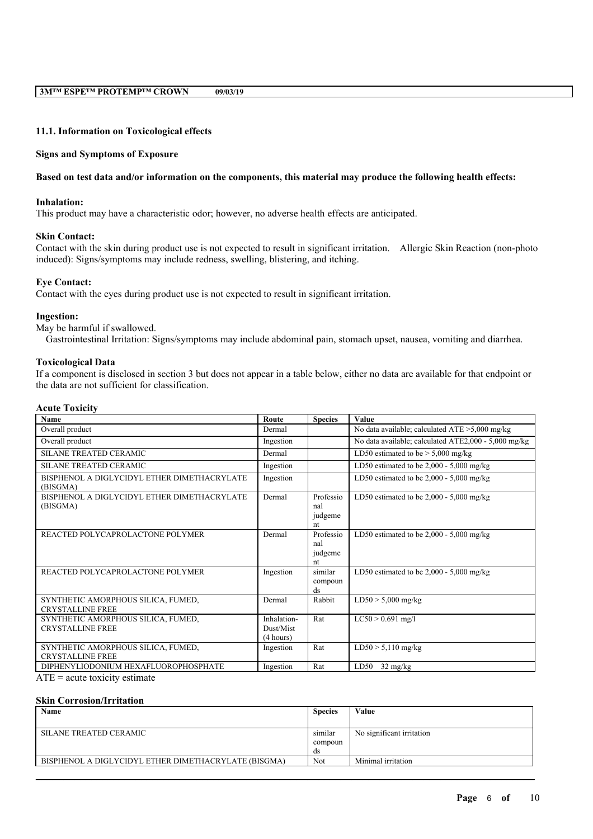#### **11.1. Information on Toxicological effects**

#### **Signs and Symptoms of Exposure**

#### Based on test data and/or information on the components, this material may produce the following health effects:

#### **Inhalation:**

This product may have a characteristic odor; however, no adverse health effects are anticipated.

#### **Skin Contact:**

Contact with the skin during product use is not expected to result in significant irritation. Allergic Skin Reaction (non-photo induced): Signs/symptoms may include redness, swelling, blistering, and itching.

#### **Eye Contact:**

Contact with the eyes during product use is not expected to result in significant irritation.

#### **Ingestion:**

May be harmful if swallowed.

Gastrointestinal Irritation: Signs/symptoms may include abdominal pain, stomach upset, nausea, vomiting and diarrhea.

#### **Toxicological Data**

If a component is disclosed in section 3 but does not appear in a table below, either no data are available for that endpoint or the data are not sufficient for classification.

### **Acute Toxicity**

| <b>Name</b>                                                   | Route                                 | <b>Species</b>                    | Value                                                |
|---------------------------------------------------------------|---------------------------------------|-----------------------------------|------------------------------------------------------|
| Overall product                                               | Dermal                                |                                   | No data available; calculated $ATE > 5,000$ mg/kg    |
| Overall product                                               | Ingestion                             |                                   | No data available; calculated ATE2,000 - 5,000 mg/kg |
| <b>SILANE TREATED CERAMIC</b>                                 | Dermal                                |                                   | LD50 estimated to be $> 5,000$ mg/kg                 |
| <b>SILANE TREATED CERAMIC</b>                                 | Ingestion                             |                                   | LD50 estimated to be $2,000 - 5,000$ mg/kg           |
| BISPHENOL A DIGLYCIDYL ETHER DIMETHACRYLATE<br>(BISGMA)       | Ingestion                             |                                   | LD50 estimated to be $2,000 - 5,000$ mg/kg           |
| BISPHENOL A DIGLYCIDYL ETHER DIMETHACRYLATE<br>(BISGMA)       | Dermal                                | Professio<br>nal<br>judgeme<br>nt | LD50 estimated to be $2,000 - 5,000$ mg/kg           |
| REACTED POLYCAPROLACTONE POLYMER                              | Dermal                                | Professio<br>nal<br>judgeme<br>nt | LD50 estimated to be $2,000 - 5,000$ mg/kg           |
| REACTED POLYCAPROLACTONE POLYMER                              | Ingestion                             | similar<br>compoun<br>ds          | LD50 estimated to be $2,000 - 5,000$ mg/kg           |
| SYNTHETIC AMORPHOUS SILICA, FUMED,<br><b>CRYSTALLINE FREE</b> | Dermal                                | Rabbit                            | $LD50 > 5,000$ mg/kg                                 |
| SYNTHETIC AMORPHOUS SILICA, FUMED,<br><b>CRYSTALLINE FREE</b> | Inhalation-<br>Dust/Mist<br>(4 hours) | Rat                               | $LC50 > 0.691$ mg/l                                  |
| SYNTHETIC AMORPHOUS SILICA, FUMED,<br><b>CRYSTALLINE FREE</b> | Ingestion                             | Rat                               | $LD50 > 5,110$ mg/kg                                 |
| DIPHENYLIODONIUM HEXAFLUOROPHOSPHATE                          | Ingestion                             | Rat                               | $32 \text{ mg/kg}$<br>LD50                           |

 $ATE = acute$  toxicity estimate

#### **Skin Corrosion/Irritation**

| Name                                                 | <b>Species</b> | Value                     |
|------------------------------------------------------|----------------|---------------------------|
|                                                      |                |                           |
| SILANE TREATED CERAMIC                               | similar        | No significant irritation |
|                                                      | compoun        |                           |
|                                                      | ds             |                           |
| BISPHENOL A DIGLYCIDYL ETHER DIMETHACRYLATE (BISGMA) | Not            | Minimal irritation        |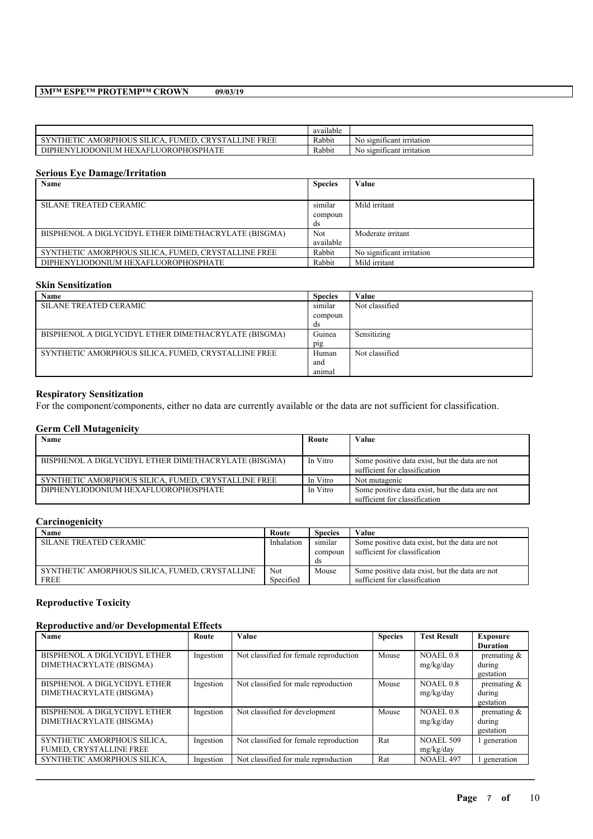|                                                                                              | <br>available |                                       |
|----------------------------------------------------------------------------------------------|---------------|---------------------------------------|
| <b>FREE</b><br><b>CRYSTALLINE</b><br>AMORPHOUS<br>THETIC<br>-SILICA.<br>'MEL                 | Rabbit        | . .<br>N0<br>o significant irritation |
| A THE<br>JOROPHOSPHA'<br><b>JODONIU</b><br>ΝV<br><b>DIPHE</b><br><b>HEXAI</b><br>JM<br>11.AU | Rabbit        | No<br>o significant irritation        |

#### **Serious Eye Damage/Irritation**

| Name                                                 | <b>Species</b> | Value                     |
|------------------------------------------------------|----------------|---------------------------|
|                                                      |                |                           |
| SILANE TREATED CERAMIC                               | similar        | Mild irritant             |
|                                                      | compoun        |                           |
|                                                      | ds             |                           |
| BISPHENOL A DIGLYCIDYL ETHER DIMETHACRYLATE (BISGMA) | Not            | Moderate irritant         |
|                                                      | available      |                           |
| SYNTHETIC AMORPHOUS SILICA, FUMED, CRYSTALLINE FREE  | Rabbit         | No significant irritation |
| DIPHENYLIODONIUM HEXAFLUOROPHOSPHATE                 | Rabbit         | Mild irritant             |

### **Skin Sensitization**

| Name                                                 | <b>Species</b> | Value          |
|------------------------------------------------------|----------------|----------------|
| <b>SILANE TREATED CERAMIC</b>                        | similar        | Not classified |
|                                                      | compoun        |                |
|                                                      | ds             |                |
| BISPHENOL A DIGLYCIDYL ETHER DIMETHACRYLATE (BISGMA) | Guinea         | Sensitizing    |
|                                                      | $p_{1}g$       |                |
| SYNTHETIC AMORPHOUS SILICA, FUMED, CRYSTALLINE FREE  | Human          | Not classified |
|                                                      | and            |                |
|                                                      | animal         |                |

### **Respiratory Sensitization**

For the component/components, either no data are currently available or the data are not sufficient for classification.

#### **Germ Cell Mutagenicity**

| Name                                                 | Route    | Value                                                                           |
|------------------------------------------------------|----------|---------------------------------------------------------------------------------|
| BISPHENOL A DIGLYCIDYL ETHER DIMETHACRYLATE (BISGMA) | In Vitro | Some positive data exist, but the data are not<br>sufficient for classification |
| SYNTHETIC AMORPHOUS SILICA, FUMED, CRYSTALLINE FREE  | In Vitro | Not mutagenic                                                                   |
| DIPHENYLIODONIUM HEXAFLUOROPHOSPHATE                 | In Vitro | Some positive data exist, but the data are not<br>sufficient for classification |

## **Carcinogenicity**

| Name                                           | Route      | <b>Species</b> | Value                                          |
|------------------------------------------------|------------|----------------|------------------------------------------------|
| SILANE TREATED CERAMIC                         | Inhalation | similar        | Some positive data exist, but the data are not |
|                                                |            | compoun        | sufficient for classification                  |
|                                                |            | ds             |                                                |
| SYNTHETIC AMORPHOUS SILICA, FUMED, CRYSTALLINE | Not        | Mouse          | Some positive data exist, but the data are not |
| <b>FREE</b>                                    | Specified  |                | sufficient for classification                  |

# **Reproductive Toxicity**

### **Reproductive and/or Developmental Effects**

| Name                           | Route     | Value                                  | <b>Species</b> | <b>Test Result</b> | <b>Exposure</b> |
|--------------------------------|-----------|----------------------------------------|----------------|--------------------|-----------------|
|                                |           |                                        |                |                    | <b>Duration</b> |
| BISPHENOL A DIGLYCIDYL ETHER   | Ingestion | Not classified for female reproduction | Mouse          | NOAEL 0.8          | premating $\&$  |
| DIMETHACRYLATE (BISGMA)        |           |                                        |                | mg/kg/day          | during          |
|                                |           |                                        |                |                    | gestation       |
| BISPHENOL A DIGLYCIDYL ETHER   | Ingestion | Not classified for male reproduction   | Mouse          | NOAEL 0.8          | premating $\&$  |
| DIMETHACRYLATE (BISGMA)        |           |                                        |                | mg/kg/day          | during          |
|                                |           |                                        |                |                    | gestation       |
| BISPHENOL A DIGLYCIDYL ETHER   | Ingestion | Not classified for development         | Mouse          | NOAEL 0.8          | premating $\&$  |
| DIMETHACRYLATE (BISGMA)        |           |                                        |                | mg/kg/day          | during          |
|                                |           |                                        |                |                    | gestation       |
| SYNTHETIC AMORPHOUS SILICA,    | Ingestion | Not classified for female reproduction | Rat            | <b>NOAEL 509</b>   | generation      |
| <b>FUMED, CRYSTALLINE FREE</b> |           |                                        |                | mg/kg/day          |                 |
| SYNTHETIC AMORPHOUS SILICA,    | Ingestion | Not classified for male reproduction   | Rat            | NOAEL 497          | generation      |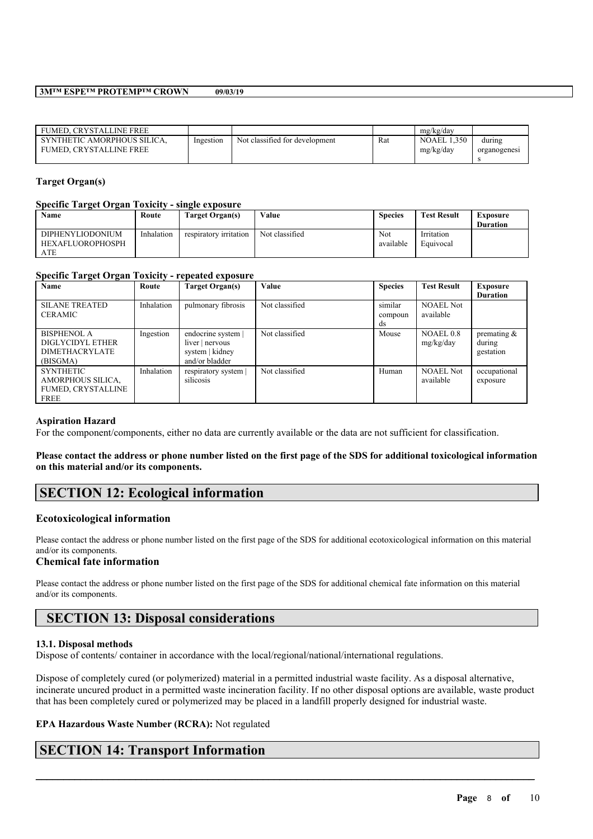| FUMED. CRYSTALLINE FREE                                       |           |                                |     | mg/kg/day                       |                        |
|---------------------------------------------------------------|-----------|--------------------------------|-----|---------------------------------|------------------------|
| SYNTHETIC AMORPHOUS SILICA.<br><b>FUMED. CRYSTALLINE FREE</b> | Ingestion | Not classified for development | Rat | <b>NOAEL 1.350</b><br>mg/kg/day | durıng<br>organogenesi |

### **Target Organ(s)**

### **Specific Target Organ Toxicity - single exposure**

| Name                                               | Route      | Target Organ(s)        | Value          | <b>Species</b>   | <b>Test Result</b>      | Exposure<br><b>Duration</b> |
|----------------------------------------------------|------------|------------------------|----------------|------------------|-------------------------|-----------------------------|
| <b>DIPHENYLIODONIUM</b><br><b>HEXAFLUOROPHOSPH</b> | Inhalation | respiratory irritation | Not classified | Not<br>available | Irritation<br>Equivocal |                             |
| ATE                                                |            |                        |                |                  |                         |                             |

## **Specific Target Organ Toxicity - repeated exposure**

| Name                      | Route      | Target Organ(s)    | Value          | <b>Species</b> | <b>Test Result</b> | <b>Exposure</b> |
|---------------------------|------------|--------------------|----------------|----------------|--------------------|-----------------|
|                           |            |                    |                |                |                    | <b>Duration</b> |
| <b>SILANE TREATED</b>     | Inhalation | pulmonary fibrosis | Not classified | similar        | <b>NOAEL Not</b>   |                 |
| CERAMIC                   |            |                    |                | compoun        | available          |                 |
|                           |            |                    |                | ds             |                    |                 |
| <b>BISPHENOL A</b>        | Ingestion  | endocrine system   | Not classified | Mouse          | NOAEL 0.8          | premating $\&$  |
| DIGLYCIDYL ETHER          |            | liver   nervous    |                |                | mg/kg/day          | during          |
| <b>DIMETHACRYLATE</b>     |            | system   kidney    |                |                |                    | gestation       |
| (BISGMA)                  |            | and/or bladder     |                |                |                    |                 |
| <b>SYNTHETIC</b>          | Inhalation | respiratory system | Not classified | Human          | <b>NOAEL Not</b>   | occupational    |
| AMORPHOUS SILICA,         |            | silicosis          |                |                | available          | exposure        |
| <b>FUMED, CRYSTALLINE</b> |            |                    |                |                |                    |                 |
| <b>FREE</b>               |            |                    |                |                |                    |                 |

### **Aspiration Hazard**

For the component/components, either no data are currently available or the data are not sufficient for classification.

#### Please contact the address or phone number listed on the first page of the SDS for additional toxicological information **on this material and/or its components.**

# **SECTION 12: Ecological information**

### **Ecotoxicological information**

Please contact the address or phone number listed on the first page of the SDS for additional ecotoxicological information on this material and/or its components.

### **Chemical fate information**

Please contact the address or phone number listed on the first page of the SDS for additional chemical fate information on this material and/or its components.

# **SECTION 13: Disposal considerations**

### **13.1. Disposal methods**

Dispose of contents/ container in accordance with the local/regional/national/international regulations.

Dispose of completely cured (or polymerized) material in a permitted industrial waste facility. As a disposal alternative, incinerate uncured product in a permitted waste incineration facility. If no other disposal options are available, waste product that has been completely cured or polymerized may be placed in a landfill properly designed for industrial waste.

 $\mathcal{L}_\mathcal{L} = \mathcal{L}_\mathcal{L} = \mathcal{L}_\mathcal{L} = \mathcal{L}_\mathcal{L} = \mathcal{L}_\mathcal{L} = \mathcal{L}_\mathcal{L} = \mathcal{L}_\mathcal{L} = \mathcal{L}_\mathcal{L} = \mathcal{L}_\mathcal{L} = \mathcal{L}_\mathcal{L} = \mathcal{L}_\mathcal{L} = \mathcal{L}_\mathcal{L} = \mathcal{L}_\mathcal{L} = \mathcal{L}_\mathcal{L} = \mathcal{L}_\mathcal{L} = \mathcal{L}_\mathcal{L} = \mathcal{L}_\mathcal{L}$ 

## **EPA Hazardous Waste Number (RCRA):** Not regulated

# **SECTION 14: Transport Information**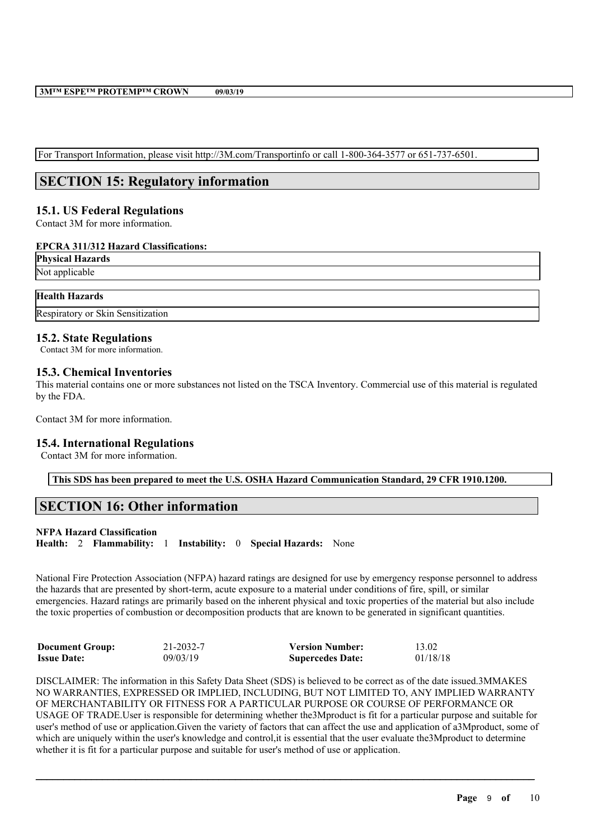For Transport Information, please visit http://3M.com/Transportinfo or call 1-800-364-3577 or 651-737-6501.

# **SECTION 15: Regulatory information**

## **15.1. US Federal Regulations**

Contact 3M for more information.

### **EPCRA 311/312 Hazard Classifications:**

**Physical Hazards** Not applicable

## **Health Hazards**

Respiratory or Skin Sensitization

## **15.2. State Regulations**

Contact 3M for more information.

## **15.3. Chemical Inventories**

This material contains one or more substances not listed on the TSCA Inventory. Commercial use of this material is regulated by the FDA.

Contact 3M for more information.

# **15.4. International Regulations**

Contact 3M for more information.

**This SDS has been prepared to meet the U.S. OSHA Hazard Communication Standard, 29 CFR 1910.1200.**

# **SECTION 16: Other information**

# **NFPA Hazard Classification**

**Health:** 2 **Flammability:** 1 **Instability:** 0 **Special Hazards:** None

National Fire Protection Association (NFPA) hazard ratings are designed for use by emergency response personnel to address the hazards that are presented by short-term, acute exposure to a material under conditions of fire, spill, or similar emergencies. Hazard ratings are primarily based on the inherent physical and toxic properties of the material but also include the toxic properties of combustion or decomposition products that are known to be generated in significant quantities.

| <b>Document Group:</b> | 21-2032-7 | <b>Version Number:</b>  | 13.02    |
|------------------------|-----------|-------------------------|----------|
| <b>Issue Date:</b>     | 09/03/19  | <b>Supercedes Date:</b> | 01/18/18 |

DISCLAIMER: The information in this Safety Data Sheet (SDS) is believed to be correct as of the date issued.3MMAKES NO WARRANTIES, EXPRESSED OR IMPLIED, INCLUDING, BUT NOT LIMITED TO, ANY IMPLIED WARRANTY OF MERCHANTABILITY OR FITNESS FOR A PARTICULAR PURPOSE OR COURSE OF PERFORMANCE OR USAGE OF TRADE.User is responsible for determining whether the3Mproduct is fit for a particular purpose and suitable for user's method of use or application.Given the variety of factors that can affect the use and application of a3Mproduct, some of which are uniquely within the user's knowledge and control, it is essential that the user evaluate the 3Mproduct to determine whether it is fit for a particular purpose and suitable for user's method of use or application.